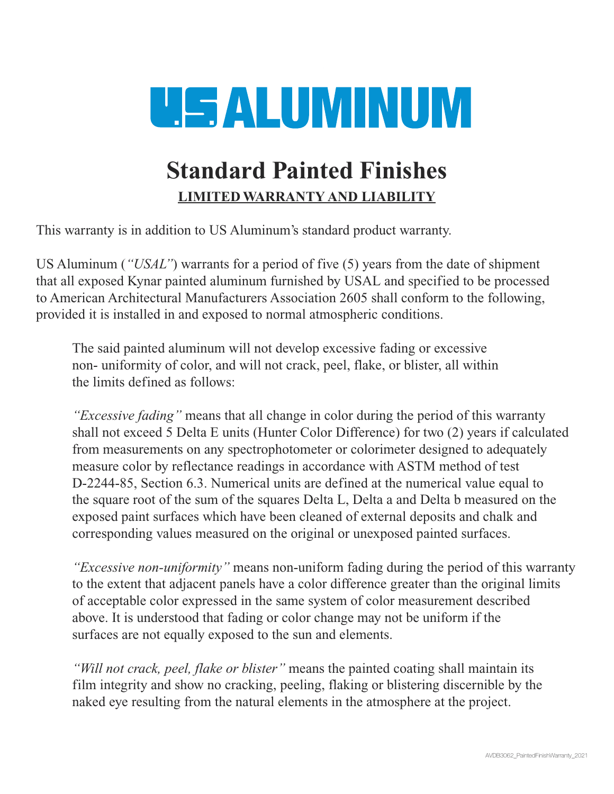

## **Standard Painted Finishes LIMITED WARRANTY AND LIABILITY**

This warranty is in addition to US Aluminum's standard product warranty.

US Aluminum (*"USAL"*) warrants for a period of five (5) years from the date of shipment that all exposed Kynar painted aluminum furnished by USAL and specified to be processed to American Architectural Manufacturers Association 2605 shall conform to the following, provided it is installed in and exposed to normal atmospheric conditions.

The said painted aluminum will not develop excessive fading or excessive non- uniformity of color, and will not crack, peel, flake, or blister, all within the limits defined as follows:

*"Excessive fading"* means that all change in color during the period of this warranty shall not exceed 5 Delta E units (Hunter Color Difference) for two (2) years if calculated from measurements on any spectrophotometer or colorimeter designed to adequately measure color by reflectance readings in accordance with ASTM method of test D-2244-85, Section 6.3. Numerical units are defined at the numerical value equal to the square root of the sum of the squares Delta L, Delta a and Delta b measured on the exposed paint surfaces which have been cleaned of external deposits and chalk and corresponding values measured on the original or unexposed painted surfaces.

*"Excessive non-uniformity"* means non-uniform fading during the period of this warranty to the extent that adjacent panels have a color difference greater than the original limits of acceptable color expressed in the same system of color measurement described above. It is understood that fading or color change may not be uniform if the surfaces are not equally exposed to the sun and elements.

*"Will not crack, peel, flake or blister"* means the painted coating shall maintain its film integrity and show no cracking, peeling, flaking or blistering discernible by the naked eye resulting from the natural elements in the atmosphere at the project.